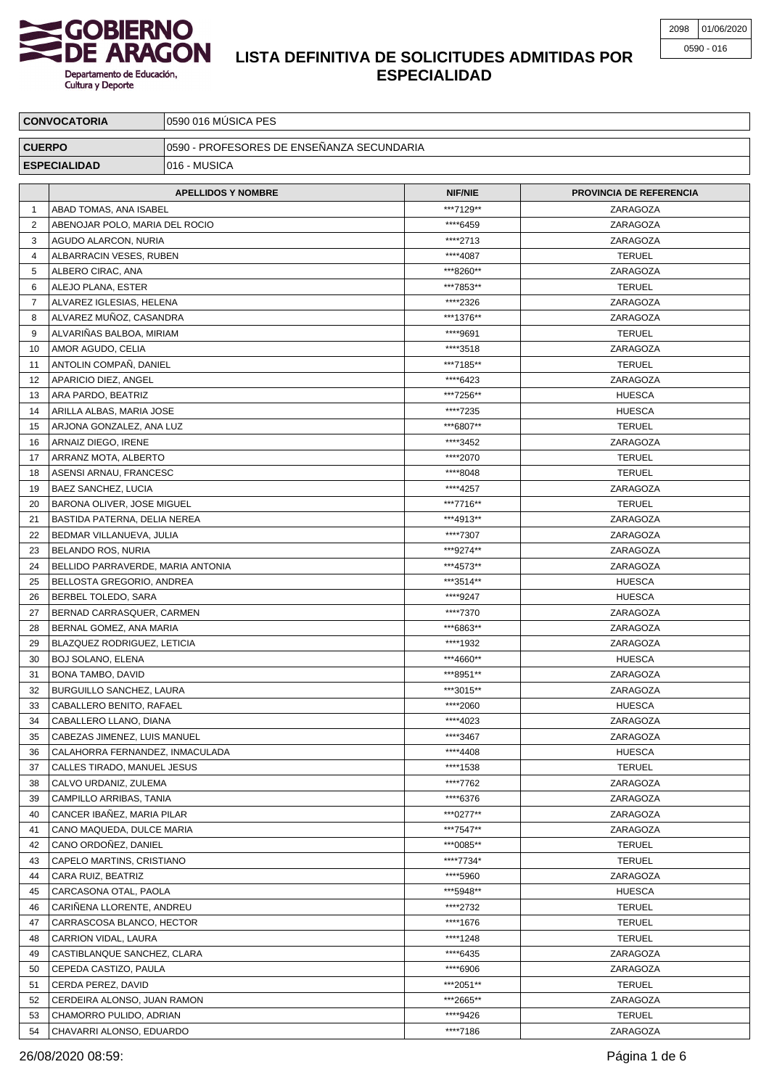

| <b>CONVOCATORIA</b> |                                                         | 0590 016 MÚSICA PES                       |                      |                                |  |  |
|---------------------|---------------------------------------------------------|-------------------------------------------|----------------------|--------------------------------|--|--|
| <b>CUERPO</b>       |                                                         | 0590 - PROFESORES DE ENSEÑANZA SECUNDARIA |                      |                                |  |  |
| <b>ESPECIALIDAD</b> |                                                         | 016 - MUSICA                              |                      |                                |  |  |
|                     |                                                         |                                           |                      |                                |  |  |
|                     |                                                         | <b>APELLIDOS Y NOMBRE</b>                 | <b>NIF/NIE</b>       | <b>PROVINCIA DE REFERENCIA</b> |  |  |
| $\mathbf 1$         | ABAD TOMAS, ANA ISABEL                                  |                                           | ***7129**            | ZARAGOZA                       |  |  |
| $\overline{2}$      | ABENOJAR POLO, MARIA DEL ROCIO                          |                                           | ****6459             | ZARAGOZA                       |  |  |
| 3                   | AGUDO ALARCON, NURIA                                    |                                           | ****2713             | ZARAGOZA                       |  |  |
| 4                   | ALBARRACIN VESES, RUBEN                                 |                                           | ****4087             | <b>TERUEL</b>                  |  |  |
| 5                   | ALBERO CIRAC, ANA                                       |                                           | ***8260**            | ZARAGOZA                       |  |  |
| 6                   | ALEJO PLANA, ESTER                                      |                                           | ***7853**            | <b>TERUEL</b>                  |  |  |
| 7                   | ALVAREZ IGLESIAS, HELENA                                |                                           | ****2326             | ZARAGOZA                       |  |  |
| 8                   | ALVAREZ MUÑOZ, CASANDRA                                 |                                           | ***1376**            | ZARAGOZA                       |  |  |
| 9                   | ALVARIÑAS BALBOA, MIRIAM                                |                                           | ****9691             | <b>TERUEL</b>                  |  |  |
| 10                  | AMOR AGUDO, CELIA                                       |                                           | ****3518             | ZARAGOZA                       |  |  |
| 11                  | ANTOLIN COMPAÑ, DANIEL                                  |                                           | ***7185**            | <b>TERUEL</b>                  |  |  |
| 12                  | APARICIO DIEZ, ANGEL                                    |                                           | ****6423             | ZARAGOZA                       |  |  |
| 13                  | ARA PARDO, BEATRIZ                                      |                                           | ***7256**            | <b>HUESCA</b>                  |  |  |
| 14                  | ARILLA ALBAS, MARIA JOSE                                |                                           | ****7235             | <b>HUESCA</b>                  |  |  |
| 15                  | ARJONA GONZALEZ, ANA LUZ                                |                                           | ***6807**            | <b>TERUEL</b><br>ZARAGOZA      |  |  |
| 16<br>17            | ARNAIZ DIEGO, IRENE<br>ARRANZ MOTA, ALBERTO             |                                           | ****3452<br>****2070 | <b>TERUEL</b>                  |  |  |
| 18                  | ASENSI ARNAU, FRANCESC                                  |                                           | ****8048             | <b>TERUEL</b>                  |  |  |
| 19                  | BAEZ SANCHEZ, LUCIA                                     |                                           | ****4257             | ZARAGOZA                       |  |  |
| 20                  | BARONA OLIVER, JOSE MIGUEL                              |                                           | ***7716**            | <b>TERUEL</b>                  |  |  |
| 21                  | BASTIDA PATERNA, DELIA NEREA                            |                                           | ***4913**            | ZARAGOZA                       |  |  |
| 22                  |                                                         |                                           | ****7307             | ZARAGOZA                       |  |  |
| 23                  | BEDMAR VILLANUEVA, JULIA                                |                                           | ***9274**            | ZARAGOZA                       |  |  |
| 24                  | BELANDO ROS, NURIA<br>BELLIDO PARRAVERDE, MARIA ANTONIA |                                           | ***4573**            | ZARAGOZA                       |  |  |
| 25                  | BELLOSTA GREGORIO, ANDREA                               |                                           | ***3514**            | <b>HUESCA</b>                  |  |  |
| 26                  | BERBEL TOLEDO, SARA                                     |                                           | ****9247             | <b>HUESCA</b>                  |  |  |
| 27                  | BERNAD CARRASQUER, CARMEN                               |                                           | ****7370             | ZARAGOZA                       |  |  |
| 28                  | BERNAL GOMEZ, ANA MARIA                                 |                                           | ***6863**            | ZARAGOZA                       |  |  |
| 29                  | BLAZQUEZ RODRIGUEZ, LETICIA                             |                                           | ****1932             | ZARAGOZA                       |  |  |
| 30                  | <b>BOJ SOLANO, ELENA</b>                                |                                           | ***4660**            | <b>HUESCA</b>                  |  |  |
| 31                  | BONA TAMBO, DAVID                                       |                                           | ***8951**            | ZARAGOZA                       |  |  |
| 32                  | <b>BURGUILLO SANCHEZ, LAURA</b>                         |                                           | ***3015**            | ZARAGOZA                       |  |  |
| 33                  | CABALLERO BENITO, RAFAEL                                |                                           | ****2060             | <b>HUESCA</b>                  |  |  |
| 34                  | CABALLERO LLANO, DIANA                                  |                                           | ****4023             | ZARAGOZA                       |  |  |
| 35                  | CABEZAS JIMENEZ, LUIS MANUEL                            |                                           | ****3467             | ZARAGOZA                       |  |  |
| 36                  | CALAHORRA FERNANDEZ, INMACULADA                         |                                           | ****4408             | <b>HUESCA</b>                  |  |  |
| 37                  | CALLES TIRADO, MANUEL JESUS                             |                                           | ****1538             | <b>TERUEL</b>                  |  |  |
| 38                  | CALVO URDANIZ, ZULEMA                                   |                                           | ****7762             | ZARAGOZA                       |  |  |
| 39                  | CAMPILLO ARRIBAS, TANIA                                 |                                           | ****6376             | ZARAGOZA                       |  |  |
| 40                  | CANCER IBAÑEZ, MARIA PILAR                              |                                           | ***0277**            | ZARAGOZA                       |  |  |
| 41                  | CANO MAQUEDA, DULCE MARIA                               |                                           | ***7547**            | ZARAGOZA                       |  |  |
| 42                  | CANO ORDOÑEZ, DANIEL                                    |                                           | ***0085**            | <b>TERUEL</b>                  |  |  |
| 43                  | CAPELO MARTINS, CRISTIANO                               |                                           | ****7734*            | <b>TERUEL</b>                  |  |  |
| 44                  | CARA RUIZ, BEATRIZ                                      |                                           | ****5960             | ZARAGOZA                       |  |  |
| 45                  | CARCASONA OTAL, PAOLA                                   |                                           | ***5948**            | <b>HUESCA</b>                  |  |  |
| 46                  | CARINENA LLORENTE, ANDREU                               |                                           | ****2732             | <b>TERUEL</b>                  |  |  |
| 47                  | CARRASCOSA BLANCO, HECTOR                               |                                           | ****1676             | <b>TERUEL</b>                  |  |  |
| 48                  | CARRION VIDAL, LAURA                                    |                                           | ****1248             | <b>TERUEL</b>                  |  |  |
| 49                  | CASTIBLANQUE SANCHEZ, CLARA                             |                                           | ****6435             | ZARAGOZA                       |  |  |
| 50                  | CEPEDA CASTIZO, PAULA                                   |                                           | ****6906             | ZARAGOZA                       |  |  |
| 51                  | CERDA PEREZ, DAVID                                      |                                           | ***2051**            | <b>TERUEL</b>                  |  |  |
| 52                  | CERDEIRA ALONSO, JUAN RAMON                             |                                           | ***2665**            | ZARAGOZA                       |  |  |
| 53                  | CHAMORRO PULIDO, ADRIAN                                 |                                           | ****9426             | <b>TERUEL</b>                  |  |  |
| 54                  | CHAVARRI ALONSO, EDUARDO                                |                                           | ****7186             | ZARAGOZA                       |  |  |

26/08/2020 08:59: Página 1 de 6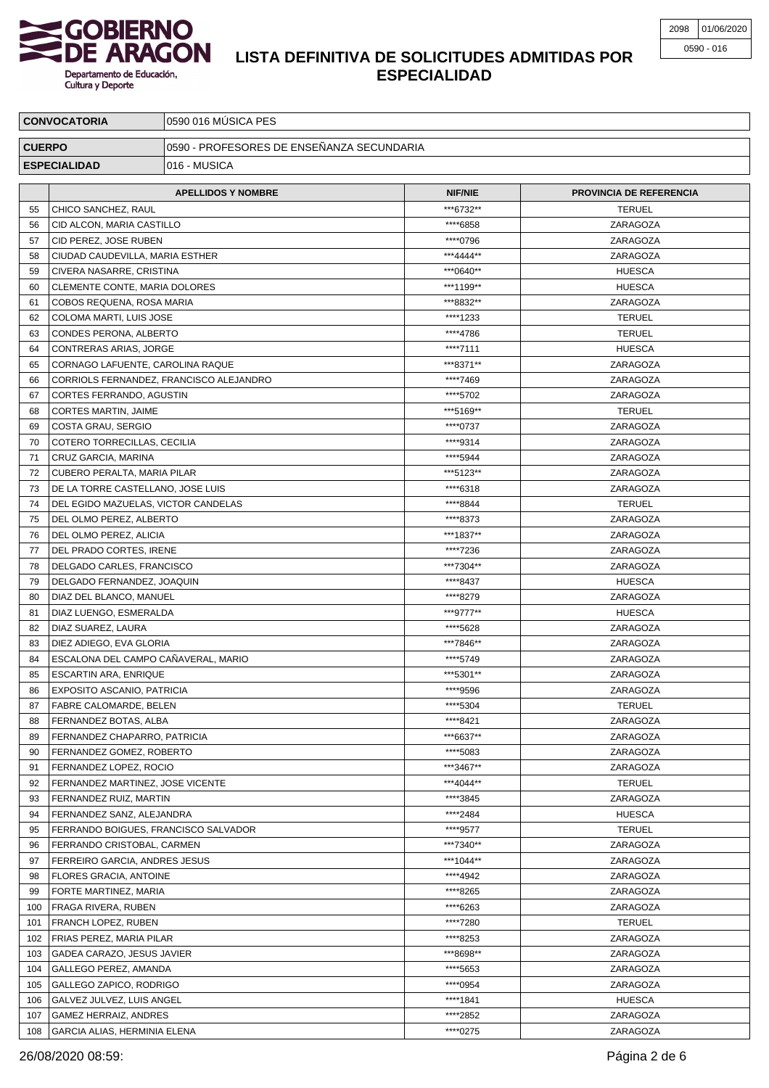

| <b>CONVOCATORIA</b> |                                                             | 0590 016 MÚSICA PES                       |                             |                           |  |  |
|---------------------|-------------------------------------------------------------|-------------------------------------------|-----------------------------|---------------------------|--|--|
| <b>CUERPO</b>       |                                                             | 0590 - PROFESORES DE ENSEÑANZA SECUNDARIA |                             |                           |  |  |
| <b>ESPECIALIDAD</b> |                                                             | 016 - MUSICA                              |                             |                           |  |  |
|                     |                                                             |                                           |                             |                           |  |  |
|                     | <b>APELLIDOS Y NOMBRE</b>                                   |                                           | <b>NIF/NIE</b><br>***6732** | PROVINCIA DE REFERENCIA   |  |  |
| 55                  |                                                             | CHICO SANCHEZ, RAUL                       |                             | <b>TERUEL</b>             |  |  |
| 56                  | CID ALCON, MARIA CASTILLO                                   |                                           | ****6858                    | ZARAGOZA                  |  |  |
| 57<br>58            | CID PEREZ. JOSE RUBEN<br>CIUDAD CAUDEVILLA, MARIA ESTHER    |                                           | ****0796<br>***4444**       | ZARAGOZA<br>ZARAGOZA      |  |  |
| 59                  | CIVERA NASARRE, CRISTINA                                    |                                           | ***0640**                   | <b>HUESCA</b>             |  |  |
| 60                  | CLEMENTE CONTE, MARIA DOLORES                               |                                           | ***1199**                   | <b>HUESCA</b>             |  |  |
| 61                  | COBOS REQUENA, ROSA MARIA                                   |                                           | ***8832**                   | ZARAGOZA                  |  |  |
| 62                  | COLOMA MARTI, LUIS JOSE                                     |                                           | ****1233                    | <b>TERUEL</b>             |  |  |
| 63                  | CONDES PERONA, ALBERTO                                      |                                           | ****4786                    | <b>TERUEL</b>             |  |  |
| 64                  | CONTRERAS ARIAS, JORGE                                      |                                           | ****7111                    | <b>HUESCA</b>             |  |  |
| 65                  | CORNAGO LAFUENTE, CAROLINA RAQUE                            |                                           | ***8371**                   | ZARAGOZA                  |  |  |
| 66                  |                                                             | CORRIOLS FERNANDEZ, FRANCISCO ALEJANDRO   | ****7469                    | ZARAGOZA                  |  |  |
| 67                  | CORTES FERRANDO, AGUSTIN                                    |                                           | ****5702                    | ZARAGOZA                  |  |  |
| 68                  | CORTES MARTIN, JAIME                                        |                                           | ***5169**                   | <b>TERUEL</b>             |  |  |
| 69                  | COSTA GRAU, SERGIO                                          |                                           | ****0737                    | ZARAGOZA                  |  |  |
| 70                  | COTERO TORRECILLAS, CECILIA                                 |                                           | ****9314                    | ZARAGOZA                  |  |  |
| 71                  | CRUZ GARCIA, MARINA                                         |                                           | ****5944                    | ZARAGOZA                  |  |  |
| 72                  | CUBERO PERALTA, MARIA PILAR                                 |                                           | ***5123**                   | ZARAGOZA                  |  |  |
| 73                  | DE LA TORRE CASTELLANO, JOSE LUIS                           |                                           | ****6318                    | ZARAGOZA                  |  |  |
| 74                  |                                                             | DEL EGIDO MAZUELAS, VICTOR CANDELAS       | ****8844                    | <b>TERUEL</b>             |  |  |
| 75                  | DEL OLMO PEREZ, ALBERTO                                     |                                           | ****8373<br>***1837**       | ZARAGOZA                  |  |  |
| 76<br>77            | DEL OLMO PEREZ, ALICIA<br>DEL PRADO CORTES, IRENE           |                                           | ****7236                    | ZARAGOZA<br>ZARAGOZA      |  |  |
| 78                  | DELGADO CARLES, FRANCISCO                                   |                                           | ***7304**                   | ZARAGOZA                  |  |  |
| 79                  | DELGADO FERNANDEZ, JOAQUIN                                  |                                           | ****8437                    | <b>HUESCA</b>             |  |  |
| 80                  | DIAZ DEL BLANCO, MANUEL                                     |                                           | ****8279                    | ZARAGOZA                  |  |  |
| 81                  | DIAZ LUENGO, ESMERALDA                                      |                                           | ***9777**                   | <b>HUESCA</b>             |  |  |
| 82                  | DIAZ SUAREZ, LAURA                                          |                                           | ****5628                    | ZARAGOZA                  |  |  |
| 83                  | DIEZ ADIEGO, EVA GLORIA                                     |                                           | ***7846**                   | ZARAGOZA                  |  |  |
| 84                  |                                                             | ESCALONA DEL CAMPO CAÑAVERAL. MARIO       | ****5749                    | ZARAGOZA                  |  |  |
| 85                  | <b>ESCARTIN ARA, ENRIQUE</b>                                |                                           | ***5301**                   | ZARAGOZA                  |  |  |
| 86                  | EXPOSITO ASCANIO, PATRICIA                                  |                                           | ****9596                    | ZARAGOZA                  |  |  |
| 87                  | <b>FABRE CALOMARDE, BELEN</b>                               |                                           | ****5304                    | <b>TERUEL</b>             |  |  |
| 88                  | FERNANDEZ BOTAS, ALBA                                       |                                           | ****8421                    | ZARAGOZA                  |  |  |
| 89                  | FERNANDEZ CHAPARRO, PATRICIA                                |                                           | ***6637**                   | ZARAGOZA                  |  |  |
| 90                  | FERNANDEZ GOMEZ, ROBERTO                                    |                                           | ****5083                    | ZARAGOZA                  |  |  |
| 91                  | FERNANDEZ LOPEZ, ROCIO                                      |                                           | ***3467**                   | ZARAGOZA                  |  |  |
| 92                  | FERNANDEZ MARTINEZ, JOSE VICENTE                            |                                           | ***4044**                   | <b>TERUEL</b>             |  |  |
| 93<br>94            | FERNANDEZ RUIZ, MARTIN                                      |                                           | ****3845<br>****2484        | ZARAGOZA<br><b>HUESCA</b> |  |  |
| 95                  | FERNANDEZ SANZ, ALEJANDRA                                   |                                           | ****9577                    | <b>TERUEL</b>             |  |  |
| 96                  | FERRANDO BOIGUES, FRANCISCO SALVADOR                        |                                           | ***7340**                   | ZARAGOZA                  |  |  |
| 97                  | FERRANDO CRISTOBAL, CARMEN<br>FERREIRO GARCIA, ANDRES JESUS |                                           | ***1044**                   | ZARAGOZA                  |  |  |
| 98                  | <b>FLORES GRACIA, ANTOINE</b>                               |                                           | ****4942                    | ZARAGOZA                  |  |  |
| 99                  | FORTE MARTINEZ, MARIA                                       |                                           | ****8265                    | ZARAGOZA                  |  |  |
| 100                 | <b>FRAGA RIVERA, RUBEN</b>                                  |                                           | ****6263                    | ZARAGOZA                  |  |  |
| 101                 | <b>FRANCH LOPEZ, RUBEN</b>                                  |                                           | ****7280                    | <b>TERUEL</b>             |  |  |
| 102                 | <b>FRIAS PEREZ, MARIA PILAR</b>                             |                                           | ****8253                    | ZARAGOZA                  |  |  |
| 103                 | GADEA CARAZO, JESUS JAVIER                                  |                                           | ***8698**                   | ZARAGOZA                  |  |  |
| 104                 | GALLEGO PEREZ, AMANDA                                       |                                           | ****5653                    | ZARAGOZA                  |  |  |
| 105                 | GALLEGO ZAPICO, RODRIGO                                     |                                           | ****0954                    | ZARAGOZA                  |  |  |
| 106                 | GALVEZ JULVEZ, LUIS ANGEL                                   |                                           | ****1841                    | <b>HUESCA</b>             |  |  |
| 107                 | GAMEZ HERRAIZ, ANDRES                                       |                                           | ****2852                    | ZARAGOZA                  |  |  |
| 108                 | GARCIA ALIAS, HERMINIA ELENA                                |                                           | ****0275                    | ZARAGOZA                  |  |  |

26/08/2020 08:59: Página 2 de 6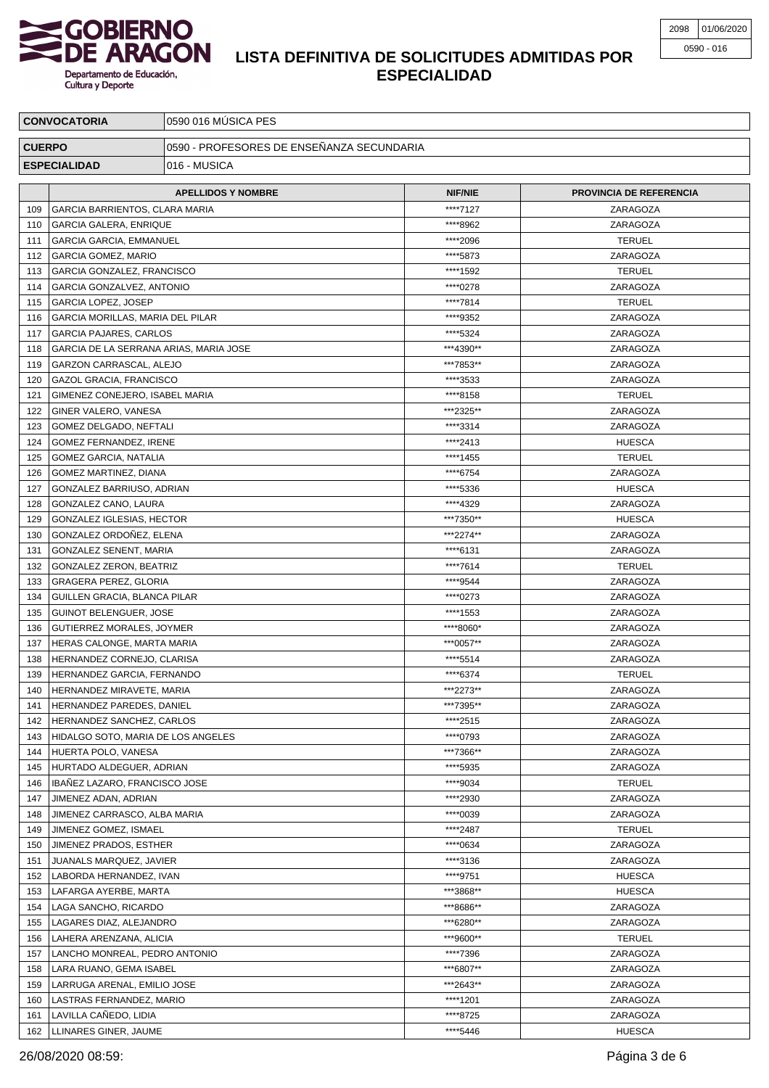

| <b>CONVOCATORIA</b>                 |                                                              | 0590 016 MÚSICA PES                       |                        |                                |  |
|-------------------------------------|--------------------------------------------------------------|-------------------------------------------|------------------------|--------------------------------|--|
| <b>CUERPO</b>                       |                                                              | 0590 - PROFESORES DE ENSEÑANZA SECUNDARIA |                        |                                |  |
| 016 - MUSICA<br><b>ESPECIALIDAD</b> |                                                              |                                           |                        |                                |  |
|                                     |                                                              |                                           |                        |                                |  |
|                                     | <b>APELLIDOS Y NOMBRE</b>                                    |                                           | <b>NIF/NIE</b>         | <b>PROVINCIA DE REFERENCIA</b> |  |
| 109                                 | GARCIA BARRIENTOS, CLARA MARIA                               |                                           | ****7127               | ZARAGOZA                       |  |
| 110                                 | <b>GARCIA GALERA, ENRIQUE</b>                                |                                           | ****8962               | ZARAGOZA                       |  |
| 111                                 | <b>GARCIA GARCIA, EMMANUEL</b><br><b>GARCIA GOMEZ, MARIO</b> |                                           | *****2096<br>****5873  | <b>TERUEL</b><br>ZARAGOZA      |  |
| 112<br>113                          | GARCIA GONZALEZ, FRANCISCO                                   |                                           | ****1592               | <b>TERUEL</b>                  |  |
| 114                                 | GARCIA GONZALVEZ, ANTONIO                                    |                                           | ****0278               | ZARAGOZA                       |  |
| 115                                 | GARCIA LOPEZ, JOSEP                                          |                                           | ****7814               | <b>TERUEL</b>                  |  |
| 116                                 | GARCIA MORILLAS, MARIA DEL PILAR                             |                                           | ****9352               | ZARAGOZA                       |  |
| 117                                 | <b>GARCIA PAJARES, CARLOS</b>                                |                                           | ****5324               | ZARAGOZA                       |  |
| 118                                 | GARCIA DE LA SERRANA ARIAS, MARIA JOSE                       |                                           | ***4390**              | ZARAGOZA                       |  |
| 119                                 | GARZON CARRASCAL, ALEJO                                      |                                           | ***7853**              | ZARAGOZA                       |  |
| 120                                 | <b>GAZOL GRACIA, FRANCISCO</b>                               |                                           | ****3533               | ZARAGOZA                       |  |
| 121                                 | GIMENEZ CONEJERO, ISABEL MARIA                               |                                           | ****8158               | <b>TERUEL</b>                  |  |
| 122                                 | GINER VALERO, VANESA                                         |                                           | ***2325**              | ZARAGOZA                       |  |
| 123                                 | GOMEZ DELGADO, NEFTALI                                       |                                           | ****3314               | ZARAGOZA                       |  |
| 124                                 | GOMEZ FERNANDEZ, IRENE                                       |                                           | ****2413               | <b>HUESCA</b>                  |  |
| 125                                 | <b>GOMEZ GARCIA, NATALIA</b>                                 |                                           | ****1455               | <b>TERUEL</b>                  |  |
| 126                                 | GOMEZ MARTINEZ, DIANA                                        |                                           | ****6754               | ZARAGOZA                       |  |
| 127                                 | GONZALEZ BARRIUSO, ADRIAN                                    |                                           | ****5336               | <b>HUESCA</b>                  |  |
| 128                                 | GONZALEZ CANO, LAURA                                         |                                           | ****4329               | ZARAGOZA                       |  |
| 129                                 | GONZALEZ IGLESIAS, HECTOR                                    |                                           | ***7350**              | <b>HUESCA</b>                  |  |
| 130                                 | GONZALEZ ORDOÑEZ, ELENA                                      |                                           | ***2274**              | ZARAGOZA                       |  |
| 131                                 | GONZALEZ SENENT, MARIA                                       |                                           | ****6131               | ZARAGOZA                       |  |
| 132                                 | GONZALEZ ZERON, BEATRIZ                                      |                                           | ****7614               | <b>TERUEL</b>                  |  |
| 133                                 | GRAGERA PEREZ, GLORIA                                        |                                           | ****9544               | ZARAGOZA                       |  |
| 134                                 | GUILLEN GRACIA, BLANCA PILAR                                 |                                           | ****0273               | ZARAGOZA                       |  |
| 135                                 | <b>GUINOT BELENGUER, JOSE</b>                                |                                           | ****1553               | ZARAGOZA                       |  |
| 136                                 | GUTIERREZ MORALES, JOYMER                                    |                                           | ****8060*              | ZARAGOZA                       |  |
| 137                                 | <b>HERAS CALONGE, MARTA MARIA</b>                            |                                           | ***0057**              | ZARAGOZA                       |  |
| 138                                 | HERNANDEZ CORNEJO, CLARISA                                   |                                           | ****5514               | ZARAGOZA                       |  |
| 139                                 | HERNANDEZ GARCIA, FERNANDO                                   |                                           | ****6374               | <b>TERUEL</b>                  |  |
| 140                                 | HERNANDEZ MIRAVETE, MARIA                                    |                                           | ***2273**              | ZARAGOZA                       |  |
| 141                                 | HERNANDEZ PAREDES, DANIEL                                    |                                           | ***7395**              | ZARAGOZA                       |  |
| 142                                 | HERNANDEZ SANCHEZ, CARLOS                                    |                                           | ****2515               | ZARAGOZA                       |  |
| 143                                 | HIDALGO SOTO, MARIA DE LOS ANGELES                           |                                           | ****0793               | ZARAGOZA                       |  |
| 144                                 | HUERTA POLO, VANESA                                          |                                           | ***7366**              | ZARAGOZA                       |  |
| 145                                 | HURTADO ALDEGUER, ADRIAN                                     |                                           | ****5935               | ZARAGOZA                       |  |
| 146                                 | IBAÑEZ LAZARO, FRANCISCO JOSE                                |                                           | ****9034               | <b>TERUEL</b>                  |  |
| 147                                 | JIMENEZ ADAN, ADRIAN                                         |                                           | *****2930              | ZARAGOZA                       |  |
| 148                                 | JIMENEZ CARRASCO, ALBA MARIA                                 |                                           | ****0039               | ZARAGOZA                       |  |
| 149                                 | JIMENEZ GOMEZ, ISMAEL                                        |                                           | ****2487               | <b>TERUEL</b>                  |  |
| 150                                 | JIMENEZ PRADOS, ESTHER                                       |                                           | ****0634               | ZARAGOZA                       |  |
| 151                                 | JUANALS MARQUEZ, JAVIER                                      |                                           | ****3136               | ZARAGOZA                       |  |
| 152                                 | LABORDA HERNANDEZ, IVAN                                      |                                           | ****9751               | <b>HUESCA</b>                  |  |
| 153                                 | LAFARGA AYERBE, MARTA                                        |                                           | ***3868**<br>***8686** | <b>HUESCA</b>                  |  |
| 154<br>155                          | LAGA SANCHO, RICARDO                                         |                                           | ***6280**              | ZARAGOZA<br>ZARAGOZA           |  |
| 156                                 | LAGARES DIAZ, ALEJANDRO<br>LAHERA ARENZANA, ALICIA           |                                           | ***9600**              | <b>TERUEL</b>                  |  |
| 157                                 | LANCHO MONREAL, PEDRO ANTONIO                                |                                           | ****7396               | ZARAGOZA                       |  |
| 158                                 | LARA RUANO, GEMA ISABEL                                      |                                           | ***6807**              | ZARAGOZA                       |  |
| 159                                 | LARRUGA ARENAL, EMILIO JOSE                                  |                                           | ***2643**              | ZARAGOZA                       |  |
| 160                                 | LASTRAS FERNANDEZ, MARIO                                     |                                           | ****1201               | ZARAGOZA                       |  |
| 161                                 | LAVILLA CANEDO, LIDIA                                        |                                           | ****8725               | ZARAGOZA                       |  |
|                                     | 162   LLINARES GINER, JAUME                                  |                                           | ****5446               | <b>HUESCA</b>                  |  |

26/08/2020 08:59: Página 3 de 6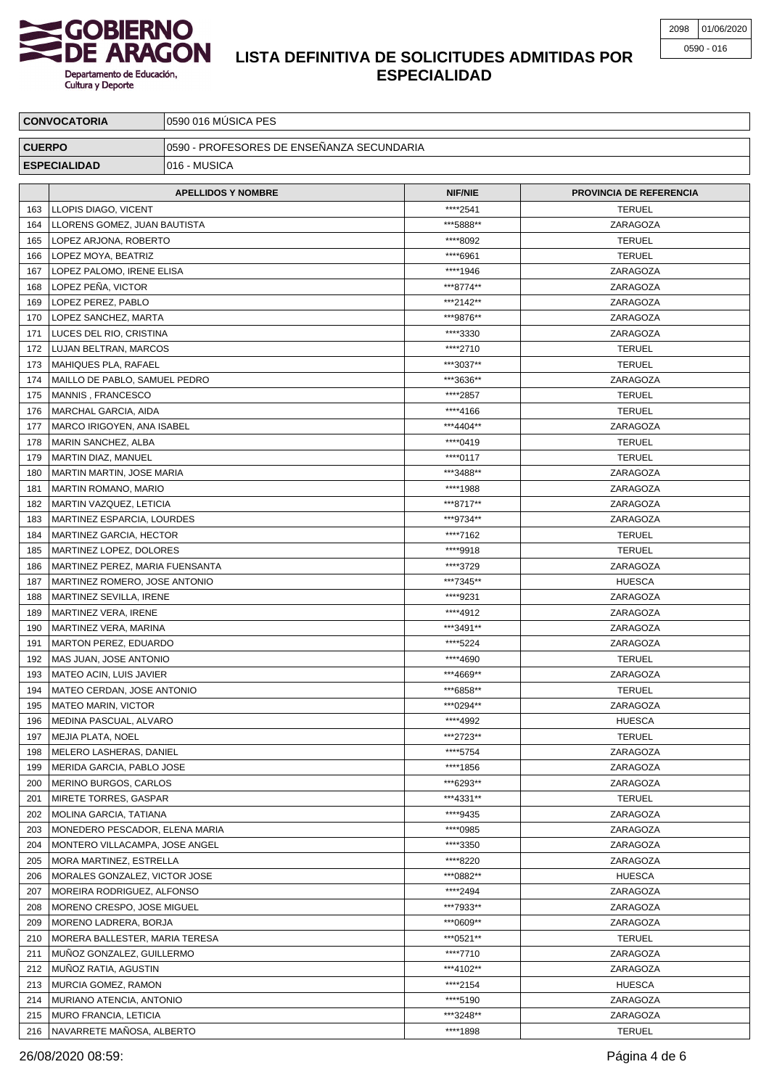

| <b>CONVOCATORIA</b>                 |                                 | 0590 016 MÚSICA PES                       |                |                                |  |
|-------------------------------------|---------------------------------|-------------------------------------------|----------------|--------------------------------|--|
| <b>CUERPO</b>                       |                                 | 0590 - PROFESORES DE ENSEÑANZA SECUNDARIA |                |                                |  |
| 016 - MUSICA<br><b>ESPECIALIDAD</b> |                                 |                                           |                |                                |  |
|                                     |                                 | <b>APELLIDOS Y NOMBRE</b>                 | <b>NIF/NIE</b> | <b>PROVINCIA DE REFERENCIA</b> |  |
| 163                                 | LLOPIS DIAGO, VICENT            |                                           | ****2541       | <b>TERUEL</b>                  |  |
| 164                                 | LLORENS GOMEZ, JUAN BAUTISTA    |                                           | ***5888**      | ZARAGOZA                       |  |
| 165                                 | LOPEZ ARJONA, ROBERTO           |                                           | ****8092       | <b>TERUEL</b>                  |  |
| 166                                 | LOPEZ MOYA, BEATRIZ             |                                           | ****6961       | <b>TERUEL</b>                  |  |
| 167                                 | LOPEZ PALOMO, IRENE ELISA       |                                           | ****1946       | ZARAGOZA                       |  |
| 168                                 | LOPEZ PEÑA, VICTOR              |                                           | ***8774**      | ZARAGOZA                       |  |
| 169                                 | LOPEZ PEREZ, PABLO              |                                           | ***2142**      | ZARAGOZA                       |  |
| 170                                 | LOPEZ SANCHEZ, MARTA            |                                           | ***9876**      | ZARAGOZA                       |  |
| 171                                 | LUCES DEL RIO, CRISTINA         |                                           | ****3330       | ZARAGOZA                       |  |
| 172                                 | LUJAN BELTRAN, MARCOS           |                                           | ****2710       | <b>TERUEL</b>                  |  |
| 173                                 | MAHIQUES PLA, RAFAEL            |                                           | ***3037**      | <b>TERUEL</b>                  |  |
| 174                                 | MAILLO DE PABLO, SAMUEL PEDRO   |                                           | ***3636**      | ZARAGOZA                       |  |
| 175                                 | MANNIS, FRANCESCO               |                                           | *****2857      | <b>TERUEL</b>                  |  |
| 176                                 | MARCHAL GARCIA, AIDA            |                                           | ****4166       | <b>TERUEL</b>                  |  |
| 177                                 | MARCO IRIGOYEN, ANA ISABEL      |                                           | ***4404**      | ZARAGOZA                       |  |
| 178                                 | MARIN SANCHEZ, ALBA             |                                           | ****0419       | <b>TERUEL</b>                  |  |
| 179                                 | MARTIN DIAZ, MANUEL             |                                           | ****0117       | <b>TERUEL</b>                  |  |
| 180                                 | MARTIN MARTIN, JOSE MARIA       |                                           | ***3488**      | ZARAGOZA                       |  |
| 181                                 | <b>MARTIN ROMANO, MARIO</b>     |                                           | ****1988       | ZARAGOZA                       |  |
| 182                                 | MARTIN VAZQUEZ, LETICIA         |                                           | ***8717**      | ZARAGOZA                       |  |
| 183                                 | MARTINEZ ESPARCIA, LOURDES      |                                           | ***9734**      | ZARAGOZA                       |  |
| 184                                 | MARTINEZ GARCIA, HECTOR         |                                           | ****7162       | <b>TERUEL</b>                  |  |
| 185                                 | MARTINEZ LOPEZ, DOLORES         |                                           | ****9918       | <b>TERUEL</b>                  |  |
| 186                                 | MARTINEZ PEREZ, MARIA FUENSANTA |                                           | ****3729       | ZARAGOZA                       |  |
| 187                                 | MARTINEZ ROMERO, JOSE ANTONIO   |                                           | ***7345**      | <b>HUESCA</b>                  |  |
| 188                                 | MARTINEZ SEVILLA, IRENE         |                                           | ****9231       | ZARAGOZA                       |  |
| 189                                 | MARTINEZ VERA, IRENE            |                                           | ****4912       | ZARAGOZA                       |  |
| 190                                 | MARTINEZ VERA, MARINA           |                                           | ***3491**      | ZARAGOZA                       |  |
| 191                                 | MARTON PEREZ, EDUARDO           |                                           | ****5224       | ZARAGOZA                       |  |
| 192                                 | MAS JUAN, JOSE ANTONIO          |                                           | ****4690       | <b>TERUEL</b>                  |  |
| 193                                 | MATEO ACIN, LUIS JAVIER         |                                           | ***4669**      | ZARAGOZA                       |  |
| 194                                 | MATEO CERDAN, JOSE ANTONIO      |                                           | ***6858**      | <b>TERUEL</b>                  |  |
| 195                                 | <b>MATEO MARIN, VICTOR</b>      |                                           | ***0294**      | ZARAGOZA                       |  |
| 196                                 | MEDINA PASCUAL, ALVARO          |                                           | ****4992       | <b>HUESCA</b>                  |  |
| 197                                 | MEJIA PLATA, NOEL               |                                           | ***2723**      | <b>TERUEL</b>                  |  |
| 198                                 | MELERO LASHERAS, DANIEL         |                                           | ****5754       | ZARAGOZA                       |  |
| 199                                 | MERIDA GARCIA, PABLO JOSE       |                                           | ****1856       | ZARAGOZA                       |  |
| 200                                 | MERINO BURGOS, CARLOS           |                                           | ***6293**      | ZARAGOZA                       |  |
| 201                                 | MIRETE TORRES, GASPAR           |                                           | ***4331**      | <b>TERUEL</b>                  |  |
| 202                                 | MOLINA GARCIA, TATIANA          |                                           | ****9435       | ZARAGOZA                       |  |
| 203                                 | MONEDERO PESCADOR, ELENA MARIA  |                                           | ****0985       | ZARAGOZA                       |  |
| 204                                 | MONTERO VILLACAMPA, JOSE ANGEL  |                                           | ****3350       | ZARAGOZA                       |  |
| 205                                 | MORA MARTINEZ, ESTRELLA         |                                           | ****8220       | ZARAGOZA                       |  |
| 206                                 | MORALES GONZALEZ, VICTOR JOSE   |                                           | ***0882**      | <b>HUESCA</b>                  |  |
| 207                                 | MOREIRA RODRIGUEZ, ALFONSO      |                                           | ****2494       | ZARAGOZA                       |  |
| 208                                 | MORENO CRESPO, JOSE MIGUEL      |                                           | ***7933**      | ZARAGOZA                       |  |
| 209                                 | MORENO LADRERA, BORJA           |                                           | ***0609**      | ZARAGOZA                       |  |
| 210                                 | MORERA BALLESTER, MARIA TERESA  |                                           | ***0521**      | <b>TERUEL</b>                  |  |
| 211                                 | MUNOZ GONZALEZ, GUILLERMO       |                                           | ****7710       | ZARAGOZA                       |  |
| 212                                 | MUNOZ RATIA, AGUSTIN            |                                           | ***4102**      | ZARAGOZA                       |  |
| 213                                 | <b>MURCIA GOMEZ, RAMON</b>      |                                           | ****2154       | <b>HUESCA</b>                  |  |
| 214                                 | MURIANO ATENCIA, ANTONIO        |                                           | ****5190       | ZARAGOZA                       |  |
| 215                                 | <b>MURO FRANCIA, LETICIA</b>    |                                           | ***3248**      | ZARAGOZA                       |  |
|                                     | 216   NAVARRETE MAÑOSA, ALBERTO |                                           | ****1898       | <b>TERUEL</b>                  |  |

26/08/2020 08:59: Página 4 de 6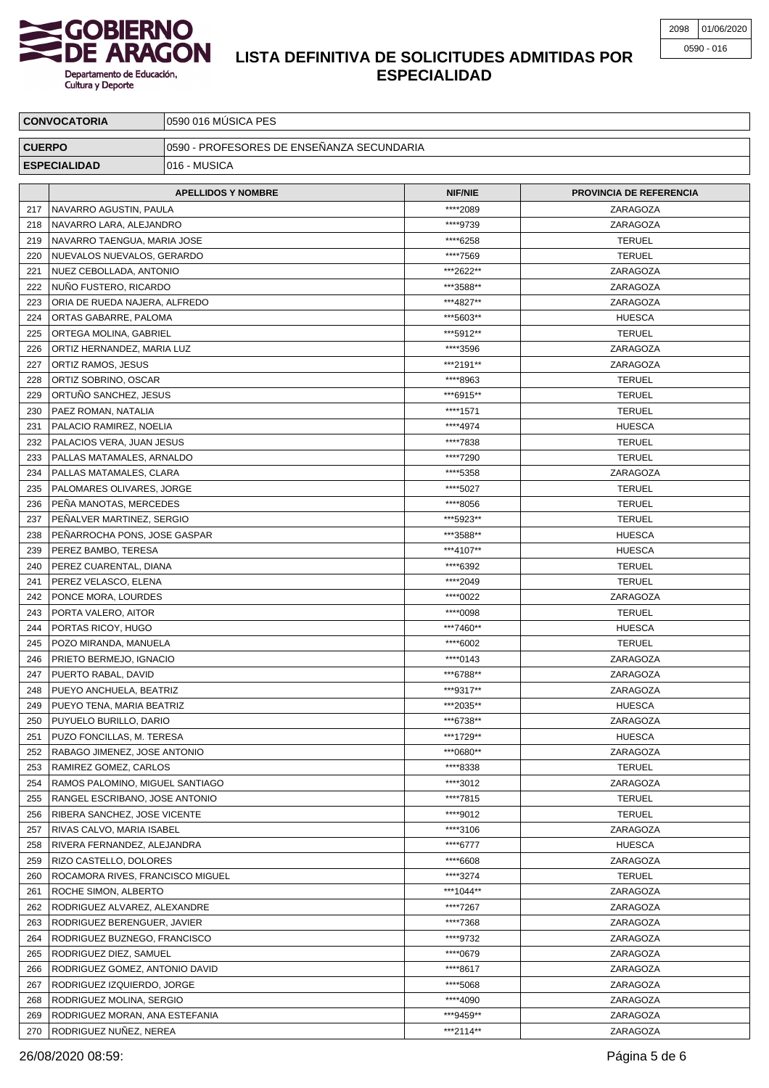

| <b>CONVOCATORIA</b> |                                                             | 0590 016 MÚSICA PES                       |                        |                                |  |  |
|---------------------|-------------------------------------------------------------|-------------------------------------------|------------------------|--------------------------------|--|--|
| <b>CUERPO</b>       |                                                             | 0590 - PROFESORES DE ENSEÑANZA SECUNDARIA |                        |                                |  |  |
| <b>ESPECIALIDAD</b> |                                                             | 016 - MUSICA                              |                        |                                |  |  |
|                     |                                                             |                                           |                        |                                |  |  |
|                     | <b>APELLIDOS Y NOMBRE</b>                                   |                                           | <b>NIF/NIE</b>         | <b>PROVINCIA DE REFERENCIA</b> |  |  |
| 217                 | NAVARRO AGUSTIN, PAULA                                      |                                           | *****2089              | ZARAGOZA                       |  |  |
| 218                 | NAVARRO LARA, ALEJANDRO                                     |                                           | ****9739               | ZARAGOZA                       |  |  |
| 219                 | NAVARRO TAENGUA, MARIA JOSE                                 |                                           | ****6258               | <b>TERUEL</b>                  |  |  |
| 220                 | NUEVALOS NUEVALOS, GERARDO                                  |                                           | ****7569               | <b>TERUEL</b>                  |  |  |
| 221<br>222          | NUEZ CEBOLLADA, ANTONIO<br>NUÑO FUSTERO, RICARDO            |                                           | ***2622**<br>***3588** | ZARAGOZA<br>ZARAGOZA           |  |  |
| 223                 | ORIA DE RUEDA NAJERA, ALFREDO                               |                                           | ***4827**              | ZARAGOZA                       |  |  |
| 224                 | ORTAS GABARRE, PALOMA                                       |                                           | ***5603**              | <b>HUESCA</b>                  |  |  |
| 225                 | ORTEGA MOLINA, GABRIEL                                      |                                           | ***5912**              | <b>TERUEL</b>                  |  |  |
| 226                 | ORTIZ HERNANDEZ, MARIA LUZ                                  |                                           | ****3596               | ZARAGOZA                       |  |  |
| 227                 | ORTIZ RAMOS, JESUS                                          |                                           | ***2191**              | ZARAGOZA                       |  |  |
| 228                 | ORTIZ SOBRINO, OSCAR                                        |                                           | ****8963               | <b>TERUEL</b>                  |  |  |
| 229                 | ORTUÑO SANCHEZ, JESUS                                       |                                           | ***6915**              | <b>TERUEL</b>                  |  |  |
| 230                 | PAEZ ROMAN, NATALIA                                         |                                           | ****1571               | <b>TERUEL</b>                  |  |  |
| 231                 | PALACIO RAMIREZ, NOELIA                                     |                                           | ****4974               | <b>HUESCA</b>                  |  |  |
| 232                 | PALACIOS VERA, JUAN JESUS                                   |                                           | ****7838               | <b>TERUEL</b>                  |  |  |
| 233                 | PALLAS MATAMALES, ARNALDO                                   |                                           | ****7290               | <b>TERUEL</b>                  |  |  |
| 234                 | PALLAS MATAMALES, CLARA                                     |                                           | ****5358               | ZARAGOZA                       |  |  |
| 235                 | PALOMARES OLIVARES, JORGE                                   |                                           | ****5027               | <b>TERUEL</b>                  |  |  |
| 236                 | PEÑA MANOTAS, MERCEDES                                      |                                           | ****8056               | <b>TERUEL</b>                  |  |  |
| 237                 | PEÑALVER MARTINEZ, SERGIO                                   |                                           | ***5923**              | <b>TERUEL</b>                  |  |  |
| 238                 | PEÑARROCHA PONS, JOSE GASPAR                                |                                           | ***3588**              | <b>HUESCA</b>                  |  |  |
| 239                 | PEREZ BAMBO, TERESA                                         |                                           | ***4107**<br>****6392  | <b>HUESCA</b>                  |  |  |
| 240<br>241          | PEREZ CUARENTAL, DIANA                                      |                                           | ****2049               | <b>TERUEL</b><br><b>TERUEL</b> |  |  |
| 242                 | PEREZ VELASCO, ELENA<br>PONCE MORA, LOURDES                 |                                           | ****0022               | ZARAGOZA                       |  |  |
| 243                 | PORTA VALERO, AITOR                                         |                                           | ****0098               | <b>TERUEL</b>                  |  |  |
| 244                 | PORTAS RICOY, HUGO                                          |                                           | ***7460**              | <b>HUESCA</b>                  |  |  |
| 245                 | POZO MIRANDA, MANUELA                                       |                                           | ****6002               | <b>TERUEL</b>                  |  |  |
| 246                 | PRIETO BERMEJO, IGNACIO                                     |                                           | ****0143               | ZARAGOZA                       |  |  |
| 247                 | <b>PUERTO RABAL, DAVID</b>                                  |                                           | ***6788**              | ZARAGOZA                       |  |  |
| 248                 | PUEYO ANCHUELA, BEATRIZ                                     |                                           | ***9317**              | ZARAGOZA                       |  |  |
| 249                 | PUEYO TENA, MARIA BEATRIZ                                   |                                           | ***2035**              | <b>HUESCA</b>                  |  |  |
| 250                 | PUYUELO BURILLO, DARIO                                      |                                           | ***6738**              | ZARAGOZA                       |  |  |
| 251                 | PUZO FONCILLAS, M. TERESA                                   |                                           | ***1729**              | <b>HUESCA</b>                  |  |  |
| 252                 | RABAGO JIMENEZ, JOSE ANTONIO                                |                                           | ***0680**              | ZARAGOZA                       |  |  |
| 253                 | RAMIREZ GOMEZ, CARLOS                                       |                                           | ****8338               | <b>TERUEL</b>                  |  |  |
| 254                 | RAMOS PALOMINO, MIGUEL SANTIAGO                             |                                           | ****3012               | ZARAGOZA                       |  |  |
| 255                 | RANGEL ESCRIBANO, JOSE ANTONIO                              |                                           | ****7815               | <b>TERUEL</b>                  |  |  |
| 256                 | RIBERA SANCHEZ, JOSE VICENTE                                |                                           | ****9012               | <b>TERUEL</b>                  |  |  |
| 257                 | RIVAS CALVO, MARIA ISABEL                                   |                                           | ****3106               | ZARAGOZA                       |  |  |
| 258                 | RIVERA FERNANDEZ, ALEJANDRA                                 |                                           | ****6777               | <b>HUESCA</b>                  |  |  |
| 259                 | RIZO CASTELLO, DOLORES                                      |                                           | ****6608               | ZARAGOZA                       |  |  |
| 260                 | ROCAMORA RIVES, FRANCISCO MIGUEL                            |                                           | ****3274               | <b>TERUEL</b>                  |  |  |
| 261<br>262          | ROCHE SIMON, ALBERTO                                        |                                           | ***1044**<br>****7267  | ZARAGOZA<br>ZARAGOZA           |  |  |
| 263                 | RODRIGUEZ ALVAREZ, ALEXANDRE                                |                                           | ****7368               | ZARAGOZA                       |  |  |
| 264                 | RODRIGUEZ BERENGUER, JAVIER<br>RODRIGUEZ BUZNEGO, FRANCISCO |                                           | ****9732               | ZARAGOZA                       |  |  |
| 265                 | RODRIGUEZ DIEZ, SAMUEL                                      |                                           | ****0679               | ZARAGOZA                       |  |  |
| 266                 | RODRIGUEZ GOMEZ, ANTONIO DAVID                              |                                           | ****8617               | ZARAGOZA                       |  |  |
| 267                 | RODRIGUEZ IZQUIERDO, JORGE                                  |                                           | ****5068               | ZARAGOZA                       |  |  |
| 268                 | RODRIGUEZ MOLINA, SERGIO                                    |                                           | ****4090               | ZARAGOZA                       |  |  |
| 269                 | RODRIGUEZ MORAN, ANA ESTEFANIA                              |                                           | ***9459**              | ZARAGOZA                       |  |  |
|                     | 270   RODRIGUEZ NUÑEZ, NEREA                                |                                           | ***2114**              | ZARAGOZA                       |  |  |

26/08/2020 08:59: Página 5 de 6